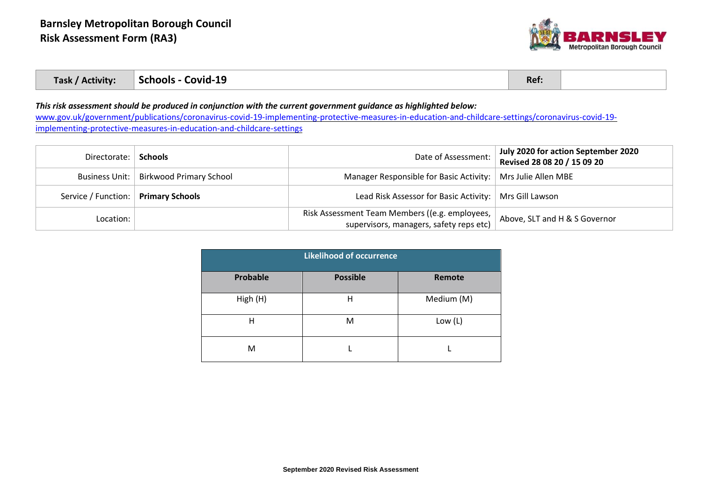

| Task / Activity: | Schools - Covid-19 | Ref. |  |
|------------------|--------------------|------|--|
|------------------|--------------------|------|--|

## *This risk assessment should be produced in conjunction with the current government guidance as highlighted below:*

[www.gov.uk/government/publications/coronavirus-covid-19-implementing-protective-measures-in-education-and-childcare-settings/coronavirus-covid-19](http://www.gov.uk/government/publications/coronavirus-covid-19-implementing-protective-measures-in-education-and-childcare-settings/coronavirus-covid-19-implementing-protective-measures-in-education-and-childcare-settings) [implementing-protective-measures-in-education-and-childcare-settings](http://www.gov.uk/government/publications/coronavirus-covid-19-implementing-protective-measures-in-education-and-childcare-settings/coronavirus-covid-19-implementing-protective-measures-in-education-and-childcare-settings)

| Directorate:                          | <b>Schools</b>                           | Date of Assessment:                                                                       | July 2020 for action September 2020<br>Revised 28 08 20 / 15 09 20 |
|---------------------------------------|------------------------------------------|-------------------------------------------------------------------------------------------|--------------------------------------------------------------------|
|                                       | Business Unit:   Birkwood Primary School | Manager Responsible for Basic Activity:                                                   | Mrs Julie Allen MBE                                                |
| Service / Function:   Primary Schools |                                          | Lead Risk Assessor for Basic Activity:   Mrs Gill Lawson                                  |                                                                    |
| Location:                             |                                          | Risk Assessment Team Members ((e.g. employees,<br>supervisors, managers, safety reps etc) | Above, SLT and H & S Governor                                      |

| <b>Likelihood of occurrence</b> |                 |            |  |  |
|---------------------------------|-----------------|------------|--|--|
| Probable                        | <b>Possible</b> | Remote     |  |  |
| High (H)                        | Н               | Medium (M) |  |  |
| Н                               | M               | Low $(L)$  |  |  |
| M                               |                 |            |  |  |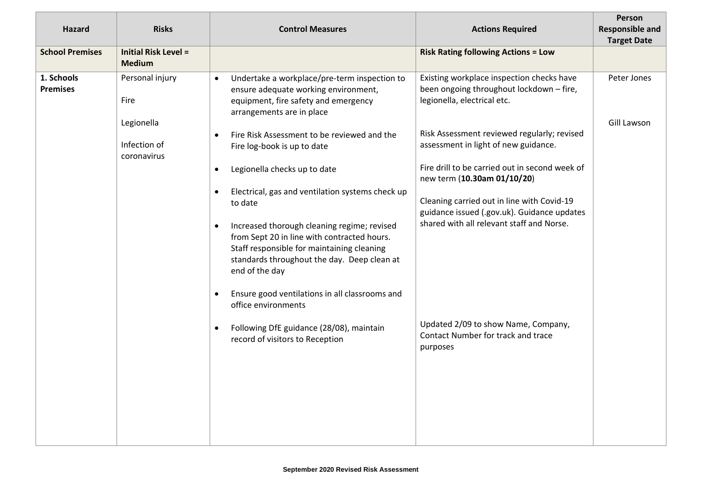| <b>Hazard</b>                 | <b>Risks</b>                                 | <b>Control Measures</b>                                                                                                                                                                                                | <b>Actions Required</b>                                                                                              | Person<br><b>Responsible and</b><br><b>Target Date</b> |
|-------------------------------|----------------------------------------------|------------------------------------------------------------------------------------------------------------------------------------------------------------------------------------------------------------------------|----------------------------------------------------------------------------------------------------------------------|--------------------------------------------------------|
| <b>School Premises</b>        | <b>Initial Risk Level =</b><br><b>Medium</b> |                                                                                                                                                                                                                        | <b>Risk Rating following Actions = Low</b>                                                                           |                                                        |
| 1. Schools<br><b>Premises</b> | Personal injury<br>Fire                      | Undertake a workplace/pre-term inspection to<br>$\bullet$<br>ensure adequate working environment,<br>equipment, fire safety and emergency<br>arrangements are in place                                                 | Existing workplace inspection checks have<br>been ongoing throughout lockdown - fire,<br>legionella, electrical etc. | Peter Jones                                            |
|                               | Legionella<br>Infection of                   | Fire Risk Assessment to be reviewed and the<br>$\bullet$<br>Fire log-book is up to date                                                                                                                                | Risk Assessment reviewed regularly; revised<br>assessment in light of new guidance.                                  | Gill Lawson                                            |
|                               | coronavirus                                  | Legionella checks up to date<br>$\bullet$                                                                                                                                                                              | Fire drill to be carried out in second week of<br>new term (10.30am 01/10/20)                                        |                                                        |
|                               |                                              | Electrical, gas and ventilation systems check up<br>$\bullet$<br>to date                                                                                                                                               | Cleaning carried out in line with Covid-19<br>guidance issued (.gov.uk). Guidance updates                            |                                                        |
|                               |                                              | Increased thorough cleaning regime; revised<br>$\bullet$<br>from Sept 20 in line with contracted hours.<br>Staff responsible for maintaining cleaning<br>standards throughout the day. Deep clean at<br>end of the day | shared with all relevant staff and Norse.                                                                            |                                                        |
|                               |                                              | Ensure good ventilations in all classrooms and<br>$\bullet$<br>office environments                                                                                                                                     |                                                                                                                      |                                                        |
|                               |                                              | Following DfE guidance (28/08), maintain<br>$\bullet$<br>record of visitors to Reception                                                                                                                               | Updated 2/09 to show Name, Company,<br>Contact Number for track and trace<br>purposes                                |                                                        |
|                               |                                              |                                                                                                                                                                                                                        |                                                                                                                      |                                                        |
|                               |                                              |                                                                                                                                                                                                                        |                                                                                                                      |                                                        |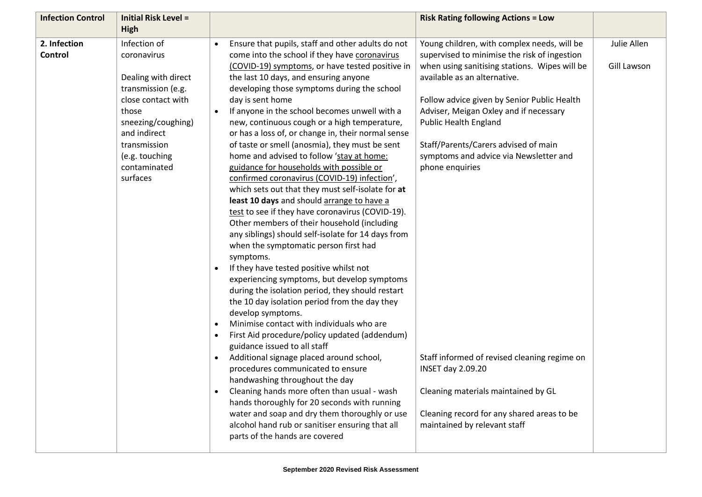| <b>Infection Control</b> | <b>Initial Risk Level =</b> | <b>Risk Rating following Actions = Low</b>                                                                    |             |
|--------------------------|-----------------------------|---------------------------------------------------------------------------------------------------------------|-------------|
|                          | High                        |                                                                                                               |             |
| 2. Infection             | Infection of                | Ensure that pupils, staff and other adults do not<br>Young children, with complex needs, will be<br>$\bullet$ | Julie Allen |
| <b>Control</b>           | coronavirus                 | come into the school if they have coronavirus<br>supervised to minimise the risk of ingestion                 |             |
|                          |                             | (COVID-19) symptoms, or have tested positive in<br>when using sanitising stations. Wipes will be              | Gill Lawson |
|                          | Dealing with direct         | the last 10 days, and ensuring anyone<br>available as an alternative.                                         |             |
|                          | transmission (e.g.          | developing those symptoms during the school                                                                   |             |
|                          | close contact with          | day is sent home<br>Follow advice given by Senior Public Health                                               |             |
|                          | those                       | If anyone in the school becomes unwell with a<br>Adviser, Meigan Oxley and if necessary                       |             |
|                          | sneezing/coughing)          | <b>Public Health England</b><br>new, continuous cough or a high temperature,                                  |             |
|                          | and indirect                | or has a loss of, or change in, their normal sense                                                            |             |
|                          | transmission                | Staff/Parents/Carers advised of main<br>of taste or smell (anosmia), they must be sent                        |             |
|                          | (e.g. touching              | home and advised to follow 'stay at home:<br>symptoms and advice via Newsletter and                           |             |
|                          | contaminated                | guidance for households with possible or<br>phone enquiries                                                   |             |
|                          | surfaces                    | confirmed coronavirus (COVID-19) infection',                                                                  |             |
|                          |                             | which sets out that they must self-isolate for at                                                             |             |
|                          |                             | least 10 days and should arrange to have a                                                                    |             |
|                          |                             | test to see if they have coronavirus (COVID-19).                                                              |             |
|                          |                             | Other members of their household (including                                                                   |             |
|                          |                             | any siblings) should self-isolate for 14 days from                                                            |             |
|                          |                             | when the symptomatic person first had                                                                         |             |
|                          |                             | symptoms.                                                                                                     |             |
|                          |                             | If they have tested positive whilst not<br>$\bullet$                                                          |             |
|                          |                             | experiencing symptoms, but develop symptoms                                                                   |             |
|                          |                             | during the isolation period, they should restart                                                              |             |
|                          |                             | the 10 day isolation period from the day they                                                                 |             |
|                          |                             | develop symptoms.                                                                                             |             |
|                          |                             | Minimise contact with individuals who are<br>$\bullet$                                                        |             |
|                          |                             | First Aid procedure/policy updated (addendum)<br>$\bullet$                                                    |             |
|                          |                             | guidance issued to all staff                                                                                  |             |
|                          |                             | Additional signage placed around school,<br>Staff informed of revised cleaning regime on<br>$\bullet$         |             |
|                          |                             | procedures communicated to ensure<br><b>INSET day 2.09.20</b>                                                 |             |
|                          |                             | handwashing throughout the day                                                                                |             |
|                          |                             | Cleaning hands more often than usual - wash<br>Cleaning materials maintained by GL<br>$\bullet$               |             |
|                          |                             | hands thoroughly for 20 seconds with running                                                                  |             |
|                          |                             | water and soap and dry them thoroughly or use<br>Cleaning record for any shared areas to be                   |             |
|                          |                             | alcohol hand rub or sanitiser ensuring that all<br>maintained by relevant staff                               |             |
|                          |                             | parts of the hands are covered                                                                                |             |
|                          |                             |                                                                                                               |             |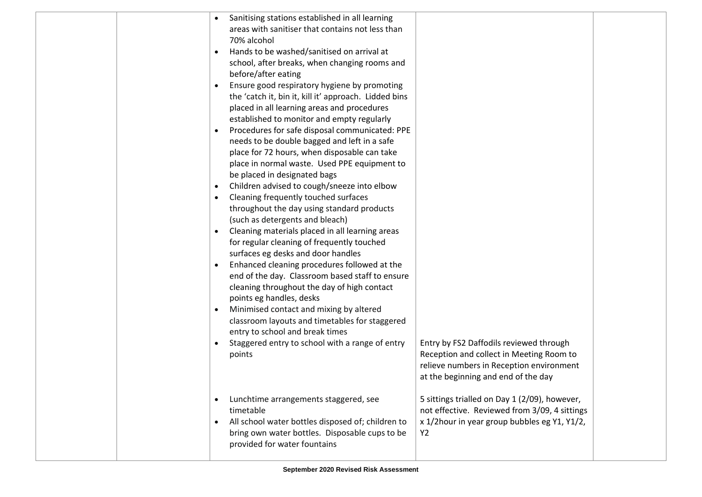|  |           | Sanitising stations established in all learning       |                                                                                      |  |
|--|-----------|-------------------------------------------------------|--------------------------------------------------------------------------------------|--|
|  |           | areas with sanitiser that contains not less than      |                                                                                      |  |
|  |           | 70% alcohol                                           |                                                                                      |  |
|  | $\bullet$ | Hands to be washed/sanitised on arrival at            |                                                                                      |  |
|  |           | school, after breaks, when changing rooms and         |                                                                                      |  |
|  |           | before/after eating                                   |                                                                                      |  |
|  |           | Ensure good respiratory hygiene by promoting          |                                                                                      |  |
|  |           | the 'catch it, bin it, kill it' approach. Lidded bins |                                                                                      |  |
|  |           | placed in all learning areas and procedures           |                                                                                      |  |
|  |           | established to monitor and empty regularly            |                                                                                      |  |
|  |           | Procedures for safe disposal communicated: PPE        |                                                                                      |  |
|  |           | needs to be double bagged and left in a safe          |                                                                                      |  |
|  |           | place for 72 hours, when disposable can take          |                                                                                      |  |
|  |           | place in normal waste. Used PPE equipment to          |                                                                                      |  |
|  |           | be placed in designated bags                          |                                                                                      |  |
|  |           | Children advised to cough/sneeze into elbow           |                                                                                      |  |
|  |           | Cleaning frequently touched surfaces                  |                                                                                      |  |
|  |           | throughout the day using standard products            |                                                                                      |  |
|  |           | (such as detergents and bleach)                       |                                                                                      |  |
|  | $\bullet$ | Cleaning materials placed in all learning areas       |                                                                                      |  |
|  |           | for regular cleaning of frequently touched            |                                                                                      |  |
|  |           | surfaces eg desks and door handles                    |                                                                                      |  |
|  | $\bullet$ | Enhanced cleaning procedures followed at the          |                                                                                      |  |
|  |           | end of the day. Classroom based staff to ensure       |                                                                                      |  |
|  |           | cleaning throughout the day of high contact           |                                                                                      |  |
|  |           | points eg handles, desks                              |                                                                                      |  |
|  | $\bullet$ | Minimised contact and mixing by altered               |                                                                                      |  |
|  |           | classroom layouts and timetables for staggered        |                                                                                      |  |
|  |           | entry to school and break times                       |                                                                                      |  |
|  | $\bullet$ | Staggered entry to school with a range of entry       | Entry by FS2 Daffodils reviewed through                                              |  |
|  |           | points                                                | Reception and collect in Meeting Room to<br>relieve numbers in Reception environment |  |
|  |           |                                                       | at the beginning and end of the day                                                  |  |
|  |           |                                                       |                                                                                      |  |
|  | $\bullet$ | Lunchtime arrangements staggered, see                 | 5 sittings trialled on Day 1 (2/09), however,                                        |  |
|  |           | timetable                                             | not effective. Reviewed from 3/09, 4 sittings                                        |  |
|  | $\bullet$ | All school water bottles disposed of; children to     | x 1/2hour in year group bubbles eg Y1, Y1/2,                                         |  |
|  |           | bring own water bottles. Disposable cups to be        | Y2                                                                                   |  |
|  |           | provided for water fountains                          |                                                                                      |  |
|  |           |                                                       |                                                                                      |  |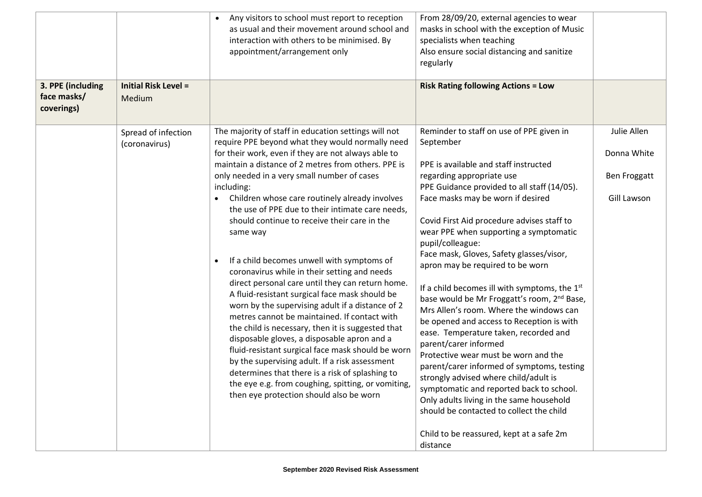|                                                |                                       | Any visitors to school must report to reception<br>as usual and their movement around school and<br>interaction with others to be minimised. By<br>appointment/arrangement only                                                                                                                                                                                                                                                                                                                                                                                                                                                                                                                                                                                                                                                                                                                                                                                                                                                                                                                                                           | From 28/09/20, external agencies to wear<br>masks in school with the exception of Music<br>specialists when teaching<br>Also ensure social distancing and sanitize<br>regularly                                                                                                                                                                                                                                                                                                                                                                                                                                                                                                                                                                                                                                                                                                                                                                                                                                          |                                                           |
|------------------------------------------------|---------------------------------------|-------------------------------------------------------------------------------------------------------------------------------------------------------------------------------------------------------------------------------------------------------------------------------------------------------------------------------------------------------------------------------------------------------------------------------------------------------------------------------------------------------------------------------------------------------------------------------------------------------------------------------------------------------------------------------------------------------------------------------------------------------------------------------------------------------------------------------------------------------------------------------------------------------------------------------------------------------------------------------------------------------------------------------------------------------------------------------------------------------------------------------------------|--------------------------------------------------------------------------------------------------------------------------------------------------------------------------------------------------------------------------------------------------------------------------------------------------------------------------------------------------------------------------------------------------------------------------------------------------------------------------------------------------------------------------------------------------------------------------------------------------------------------------------------------------------------------------------------------------------------------------------------------------------------------------------------------------------------------------------------------------------------------------------------------------------------------------------------------------------------------------------------------------------------------------|-----------------------------------------------------------|
| 3. PPE (including<br>face masks/<br>coverings) | <b>Initial Risk Level =</b><br>Medium |                                                                                                                                                                                                                                                                                                                                                                                                                                                                                                                                                                                                                                                                                                                                                                                                                                                                                                                                                                                                                                                                                                                                           | <b>Risk Rating following Actions = Low</b>                                                                                                                                                                                                                                                                                                                                                                                                                                                                                                                                                                                                                                                                                                                                                                                                                                                                                                                                                                               |                                                           |
|                                                | Spread of infection<br>(coronavirus)  | The majority of staff in education settings will not<br>require PPE beyond what they would normally need<br>for their work, even if they are not always able to<br>maintain a distance of 2 metres from others. PPE is<br>only needed in a very small number of cases<br>including:<br>Children whose care routinely already involves<br>the use of PPE due to their intimate care needs,<br>should continue to receive their care in the<br>same way<br>If a child becomes unwell with symptoms of<br>$\bullet$<br>coronavirus while in their setting and needs<br>direct personal care until they can return home.<br>A fluid-resistant surgical face mask should be<br>worn by the supervising adult if a distance of 2<br>metres cannot be maintained. If contact with<br>the child is necessary, then it is suggested that<br>disposable gloves, a disposable apron and a<br>fluid-resistant surgical face mask should be worn<br>by the supervising adult. If a risk assessment<br>determines that there is a risk of splashing to<br>the eye e.g. from coughing, spitting, or vomiting,<br>then eye protection should also be worn | Reminder to staff on use of PPE given in<br>September<br>PPE is available and staff instructed<br>regarding appropriate use<br>PPE Guidance provided to all staff (14/05).<br>Face masks may be worn if desired<br>Covid First Aid procedure advises staff to<br>wear PPE when supporting a symptomatic<br>pupil/colleague:<br>Face mask, Gloves, Safety glasses/visor,<br>apron may be required to be worn<br>If a child becomes ill with symptoms, the 1 <sup>st</sup><br>base would be Mr Froggatt's room, 2 <sup>nd</sup> Base,<br>Mrs Allen's room. Where the windows can<br>be opened and access to Reception is with<br>ease. Temperature taken, recorded and<br>parent/carer informed<br>Protective wear must be worn and the<br>parent/carer informed of symptoms, testing<br>strongly advised where child/adult is<br>symptomatic and reported back to school.<br>Only adults living in the same household<br>should be contacted to collect the child<br>Child to be reassured, kept at a safe 2m<br>distance | Julie Allen<br>Donna White<br>Ben Froggatt<br>Gill Lawson |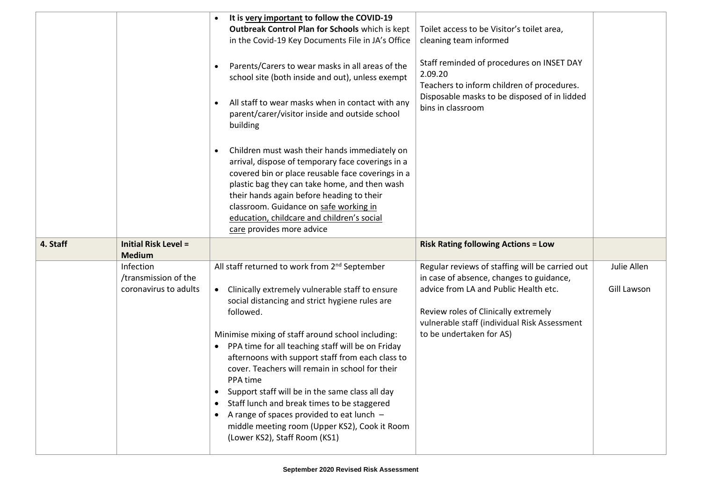|          |                                                            | It is very important to follow the COVID-19<br>Outbreak Control Plan for Schools which is kept<br>in the Covid-19 Key Documents File in JA's Office<br>Parents/Carers to wear masks in all areas of the<br>$\bullet$<br>school site (both inside and out), unless exempt<br>All staff to wear masks when in contact with any<br>$\bullet$<br>parent/carer/visitor inside and outside school<br>building                                                                                                                                                                                                                                                                                       | Toilet access to be Visitor's toilet area,<br>cleaning team informed<br>Staff reminded of procedures on INSET DAY<br>2.09.20<br>Teachers to inform children of procedures.<br>Disposable masks to be disposed of in lidded<br>bins in classroom          |                            |
|----------|------------------------------------------------------------|-----------------------------------------------------------------------------------------------------------------------------------------------------------------------------------------------------------------------------------------------------------------------------------------------------------------------------------------------------------------------------------------------------------------------------------------------------------------------------------------------------------------------------------------------------------------------------------------------------------------------------------------------------------------------------------------------|----------------------------------------------------------------------------------------------------------------------------------------------------------------------------------------------------------------------------------------------------------|----------------------------|
|          |                                                            | Children must wash their hands immediately on<br>$\bullet$<br>arrival, dispose of temporary face coverings in a<br>covered bin or place reusable face coverings in a<br>plastic bag they can take home, and then wash<br>their hands again before heading to their<br>classroom. Guidance on safe working in<br>education, childcare and children's social<br>care provides more advice                                                                                                                                                                                                                                                                                                       |                                                                                                                                                                                                                                                          |                            |
| 4. Staff | <b>Initial Risk Level =</b><br><b>Medium</b>               |                                                                                                                                                                                                                                                                                                                                                                                                                                                                                                                                                                                                                                                                                               | <b>Risk Rating following Actions = Low</b>                                                                                                                                                                                                               |                            |
|          | Infection<br>/transmission of the<br>coronavirus to adults | All staff returned to work from 2 <sup>nd</sup> September<br>Clinically extremely vulnerable staff to ensure<br>$\bullet$<br>social distancing and strict hygiene rules are<br>followed.<br>Minimise mixing of staff around school including:<br>PPA time for all teaching staff will be on Friday<br>afternoons with support staff from each class to<br>cover. Teachers will remain in school for their<br>PPA time<br>Support staff will be in the same class all day<br>$\bullet$<br>Staff lunch and break times to be staggered<br>$\bullet$<br>A range of spaces provided to eat lunch -<br>$\bullet$<br>middle meeting room (Upper KS2), Cook it Room<br>(Lower KS2), Staff Room (KS1) | Regular reviews of staffing will be carried out<br>in case of absence, changes to guidance,<br>advice from LA and Public Health etc.<br>Review roles of Clinically extremely<br>vulnerable staff (individual Risk Assessment<br>to be undertaken for AS) | Julie Allen<br>Gill Lawson |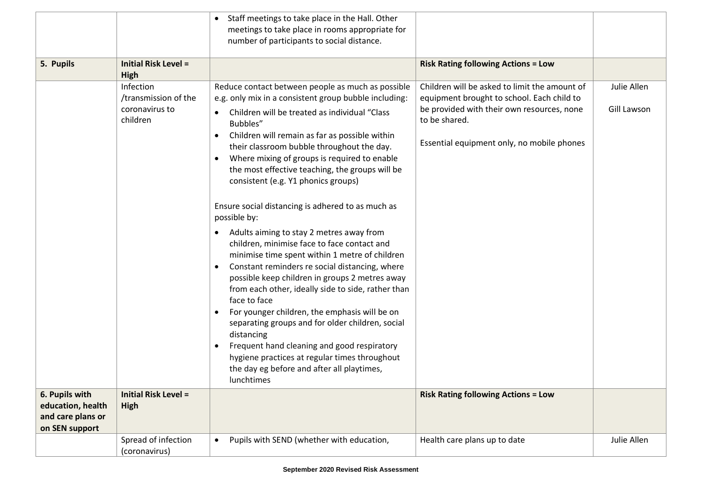|                                                          |                                                                                                | Staff meetings to take place in the Hall. Other                                                                                                                                                                                                                                                                                                                                                                                                                                                                                                                                                                                                                                                                                                                                                                                                                                                                                                                                                                                                                                                                                                                |                                                                                                                                                                                                                                                        |                            |
|----------------------------------------------------------|------------------------------------------------------------------------------------------------|----------------------------------------------------------------------------------------------------------------------------------------------------------------------------------------------------------------------------------------------------------------------------------------------------------------------------------------------------------------------------------------------------------------------------------------------------------------------------------------------------------------------------------------------------------------------------------------------------------------------------------------------------------------------------------------------------------------------------------------------------------------------------------------------------------------------------------------------------------------------------------------------------------------------------------------------------------------------------------------------------------------------------------------------------------------------------------------------------------------------------------------------------------------|--------------------------------------------------------------------------------------------------------------------------------------------------------------------------------------------------------------------------------------------------------|----------------------------|
|                                                          |                                                                                                | meetings to take place in rooms appropriate for<br>number of participants to social distance.                                                                                                                                                                                                                                                                                                                                                                                                                                                                                                                                                                                                                                                                                                                                                                                                                                                                                                                                                                                                                                                                  |                                                                                                                                                                                                                                                        |                            |
| 5. Pupils                                                | <b>Initial Risk Level =</b><br>High                                                            |                                                                                                                                                                                                                                                                                                                                                                                                                                                                                                                                                                                                                                                                                                                                                                                                                                                                                                                                                                                                                                                                                                                                                                | <b>Risk Rating following Actions = Low</b>                                                                                                                                                                                                             |                            |
| 6. Pupils with                                           | Infection<br>/transmission of the<br>coronavirus to<br>children<br><b>Initial Risk Level =</b> | Reduce contact between people as much as possible<br>e.g. only mix in a consistent group bubble including:<br>Children will be treated as individual "Class"<br>$\bullet$<br>Bubbles"<br>Children will remain as far as possible within<br>$\bullet$<br>their classroom bubble throughout the day.<br>Where mixing of groups is required to enable<br>$\bullet$<br>the most effective teaching, the groups will be<br>consistent (e.g. Y1 phonics groups)<br>Ensure social distancing is adhered to as much as<br>possible by:<br>Adults aiming to stay 2 metres away from<br>$\bullet$<br>children, minimise face to face contact and<br>minimise time spent within 1 metre of children<br>Constant reminders re social distancing, where<br>possible keep children in groups 2 metres away<br>from each other, ideally side to side, rather than<br>face to face<br>For younger children, the emphasis will be on<br>$\bullet$<br>separating groups and for older children, social<br>distancing<br>Frequent hand cleaning and good respiratory<br>hygiene practices at regular times throughout<br>the day eg before and after all playtimes,<br>lunchtimes | Children will be asked to limit the amount of<br>equipment brought to school. Each child to<br>be provided with their own resources, none<br>to be shared.<br>Essential equipment only, no mobile phones<br><b>Risk Rating following Actions = Low</b> | Julie Allen<br>Gill Lawson |
| education, health<br>and care plans or<br>on SEN support | High                                                                                           |                                                                                                                                                                                                                                                                                                                                                                                                                                                                                                                                                                                                                                                                                                                                                                                                                                                                                                                                                                                                                                                                                                                                                                |                                                                                                                                                                                                                                                        |                            |
|                                                          | Spread of infection<br>(coronavirus)                                                           | Pupils with SEND (whether with education,<br>$\bullet$                                                                                                                                                                                                                                                                                                                                                                                                                                                                                                                                                                                                                                                                                                                                                                                                                                                                                                                                                                                                                                                                                                         | Health care plans up to date                                                                                                                                                                                                                           | Julie Allen                |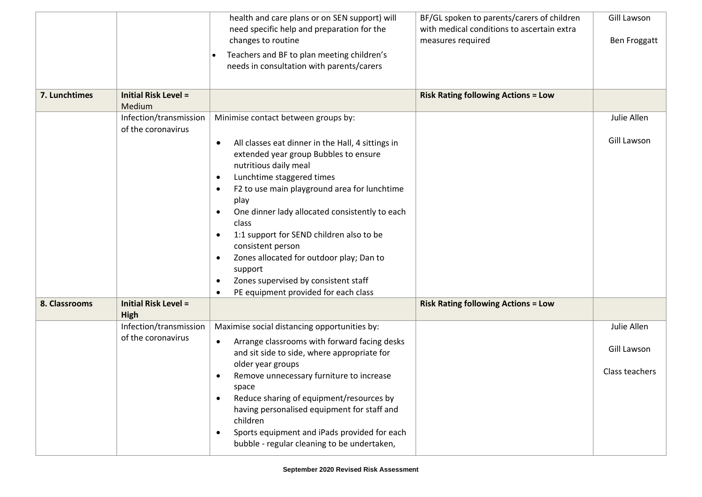|               |                                              | health and care plans or on SEN support) will                                                                                                                                                                                                                                                                                                                                                                                                                                                                                                                                       | BF/GL spoken to parents/carers of children<br>with medical conditions to ascertain extra | Gill Lawson    |
|---------------|----------------------------------------------|-------------------------------------------------------------------------------------------------------------------------------------------------------------------------------------------------------------------------------------------------------------------------------------------------------------------------------------------------------------------------------------------------------------------------------------------------------------------------------------------------------------------------------------------------------------------------------------|------------------------------------------------------------------------------------------|----------------|
|               |                                              | need specific help and preparation for the<br>changes to routine                                                                                                                                                                                                                                                                                                                                                                                                                                                                                                                    | measures required                                                                        | Ben Froggatt   |
|               |                                              | Teachers and BF to plan meeting children's<br>needs in consultation with parents/carers                                                                                                                                                                                                                                                                                                                                                                                                                                                                                             |                                                                                          |                |
| 7. Lunchtimes | <b>Initial Risk Level =</b><br>Medium        |                                                                                                                                                                                                                                                                                                                                                                                                                                                                                                                                                                                     | <b>Risk Rating following Actions = Low</b>                                               |                |
|               | Infection/transmission<br>of the coronavirus | Minimise contact between groups by:                                                                                                                                                                                                                                                                                                                                                                                                                                                                                                                                                 |                                                                                          | Julie Allen    |
|               |                                              | All classes eat dinner in the Hall, 4 sittings in<br>$\bullet$<br>extended year group Bubbles to ensure<br>nutritious daily meal<br>Lunchtime staggered times<br>$\bullet$<br>F2 to use main playground area for lunchtime<br>$\bullet$<br>play<br>One dinner lady allocated consistently to each<br>$\bullet$<br>class<br>1:1 support for SEND children also to be<br>$\bullet$<br>consistent person<br>Zones allocated for outdoor play; Dan to<br>$\bullet$<br>support<br>Zones supervised by consistent staff<br>$\bullet$<br>PE equipment provided for each class<br>$\bullet$ |                                                                                          | Gill Lawson    |
| 8. Classrooms | <b>Initial Risk Level =</b><br><b>High</b>   |                                                                                                                                                                                                                                                                                                                                                                                                                                                                                                                                                                                     | <b>Risk Rating following Actions = Low</b>                                               |                |
|               | Infection/transmission                       | Maximise social distancing opportunities by:                                                                                                                                                                                                                                                                                                                                                                                                                                                                                                                                        |                                                                                          | Julie Allen    |
|               | of the coronavirus                           | Arrange classrooms with forward facing desks<br>$\bullet$<br>and sit side to side, where appropriate for<br>older year groups                                                                                                                                                                                                                                                                                                                                                                                                                                                       |                                                                                          | Gill Lawson    |
|               |                                              | Remove unnecessary furniture to increase<br>$\bullet$<br>space<br>Reduce sharing of equipment/resources by<br>$\bullet$<br>having personalised equipment for staff and<br>children<br>Sports equipment and iPads provided for each<br>bubble - regular cleaning to be undertaken,                                                                                                                                                                                                                                                                                                   |                                                                                          | Class teachers |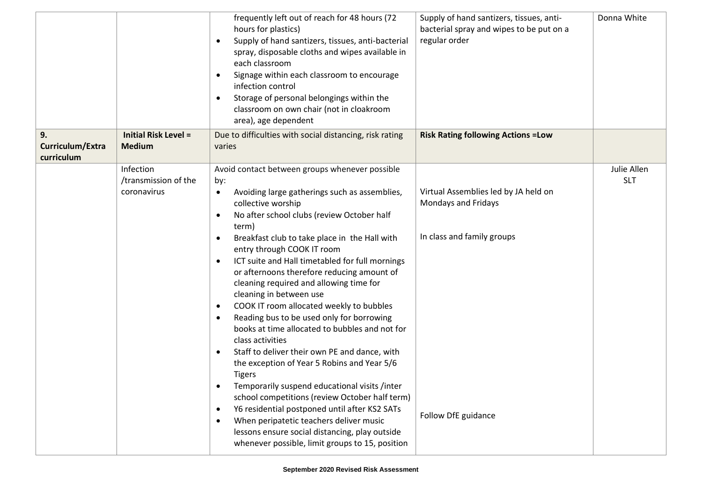|                                      |                                                  | frequently left out of reach for 48 hours (72<br>hours for plastics)<br>Supply of hand santizers, tissues, anti-bacterial<br>$\bullet$<br>spray, disposable cloths and wipes available in<br>each classroom<br>Signage within each classroom to encourage<br>$\bullet$<br>infection control<br>Storage of personal belongings within the<br>$\bullet$<br>classroom on own chair (not in cloakroom<br>area), age dependent                                                                                                                                                                                                                                                                                                                                                                                                                                                                                                                                                                                                                                                                                                                          | Supply of hand santizers, tissues, anti-<br>bacterial spray and wipes to be put on a<br>regular order            | Donna White               |
|--------------------------------------|--------------------------------------------------|----------------------------------------------------------------------------------------------------------------------------------------------------------------------------------------------------------------------------------------------------------------------------------------------------------------------------------------------------------------------------------------------------------------------------------------------------------------------------------------------------------------------------------------------------------------------------------------------------------------------------------------------------------------------------------------------------------------------------------------------------------------------------------------------------------------------------------------------------------------------------------------------------------------------------------------------------------------------------------------------------------------------------------------------------------------------------------------------------------------------------------------------------|------------------------------------------------------------------------------------------------------------------|---------------------------|
| 9.<br>Curriculum/Extra<br>curriculum | <b>Initial Risk Level =</b><br><b>Medium</b>     | Due to difficulties with social distancing, risk rating<br>varies                                                                                                                                                                                                                                                                                                                                                                                                                                                                                                                                                                                                                                                                                                                                                                                                                                                                                                                                                                                                                                                                                  | <b>Risk Rating following Actions = Low</b>                                                                       |                           |
|                                      | Infection<br>/transmission of the<br>coronavirus | Avoid contact between groups whenever possible<br>by:<br>Avoiding large gatherings such as assemblies,<br>$\bullet$<br>collective worship<br>No after school clubs (review October half<br>$\bullet$<br>term)<br>Breakfast club to take place in the Hall with<br>$\bullet$<br>entry through COOK IT room<br>ICT suite and Hall timetabled for full mornings<br>$\bullet$<br>or afternoons therefore reducing amount of<br>cleaning required and allowing time for<br>cleaning in between use<br>COOK IT room allocated weekly to bubbles<br>$\bullet$<br>Reading bus to be used only for borrowing<br>$\bullet$<br>books at time allocated to bubbles and not for<br>class activities<br>Staff to deliver their own PE and dance, with<br>$\bullet$<br>the exception of Year 5 Robins and Year 5/6<br><b>Tigers</b><br>Temporarily suspend educational visits /inter<br>school competitions (review October half term)<br>Y6 residential postponed until after KS2 SATs<br>$\bullet$<br>When peripatetic teachers deliver music<br>$\bullet$<br>lessons ensure social distancing, play outside<br>whenever possible, limit groups to 15, position | Virtual Assemblies led by JA held on<br>Mondays and Fridays<br>In class and family groups<br>Follow DfE guidance | Julie Allen<br><b>SLT</b> |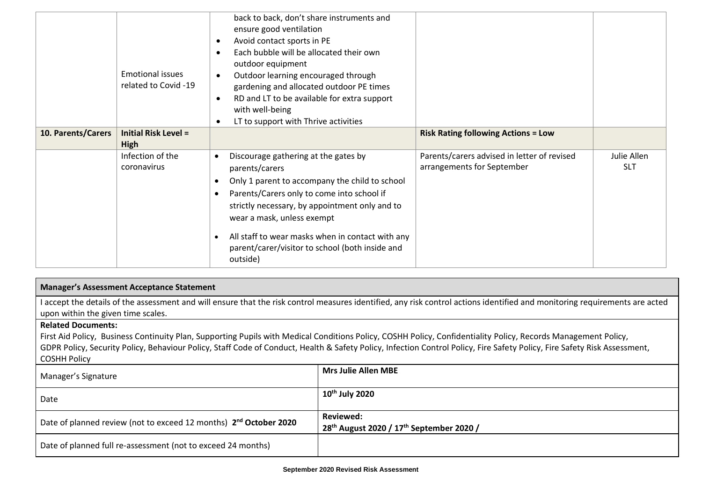|                    | <b>Emotional issues</b><br>related to Covid -19 | back to back, don't share instruments and<br>ensure good ventilation<br>Avoid contact sports in PE<br>$\bullet$<br>Each bubble will be allocated their own<br>$\bullet$<br>outdoor equipment<br>Outdoor learning encouraged through<br>$\bullet$<br>gardening and allocated outdoor PE times<br>RD and LT to be available for extra support<br>$\bullet$<br>with well-being<br>LT to support with Thrive activities<br>$\bullet$ |                                                                           |                           |
|--------------------|-------------------------------------------------|----------------------------------------------------------------------------------------------------------------------------------------------------------------------------------------------------------------------------------------------------------------------------------------------------------------------------------------------------------------------------------------------------------------------------------|---------------------------------------------------------------------------|---------------------------|
| 10. Parents/Carers | <b>Initial Risk Level =</b><br><b>High</b>      |                                                                                                                                                                                                                                                                                                                                                                                                                                  | <b>Risk Rating following Actions = Low</b>                                |                           |
|                    | Infection of the<br>coronavirus                 | Discourage gathering at the gates by<br>$\bullet$<br>parents/carers<br>Only 1 parent to accompany the child to school<br>$\bullet$<br>Parents/Carers only to come into school if<br>strictly necessary, by appointment only and to<br>wear a mask, unless exempt<br>All staff to wear masks when in contact with any<br>$\bullet$<br>parent/carer/visitor to school (both inside and<br>outside)                                 | Parents/carers advised in letter of revised<br>arrangements for September | Julie Allen<br><b>SLT</b> |

## **Manager's Assessment Acceptance Statement**

I accept the details of the assessment and will ensure that the risk control measures identified, any risk control actions identified and monitoring requirements are acted upon within the given time scales.

## **Related Documents:**

First Aid Policy, Business Continuity Plan, Supporting Pupils with Medical Conditions Policy, COSHH Policy, Confidentiality Policy, Records Management Policy, GDPR Policy, Security Policy, Behaviour Policy, Staff Code of Conduct, Health & Safety Policy, Infection Control Policy, Fire Safety Policy, Fire Safety Risk Assessment, COSHH Policy

| Manager's Signature                                                           | <b>Mrs Julie Allen MBE</b>                                                           |
|-------------------------------------------------------------------------------|--------------------------------------------------------------------------------------|
| Date                                                                          | $10th$ July 2020                                                                     |
| Date of planned review (not to exceed 12 months) 2 <sup>nd</sup> October 2020 | <b>Reviewed:</b><br>28 <sup>th</sup> August 2020 / 17 <sup>th</sup> September 2020 / |
| Date of planned full re-assessment (not to exceed 24 months)                  |                                                                                      |